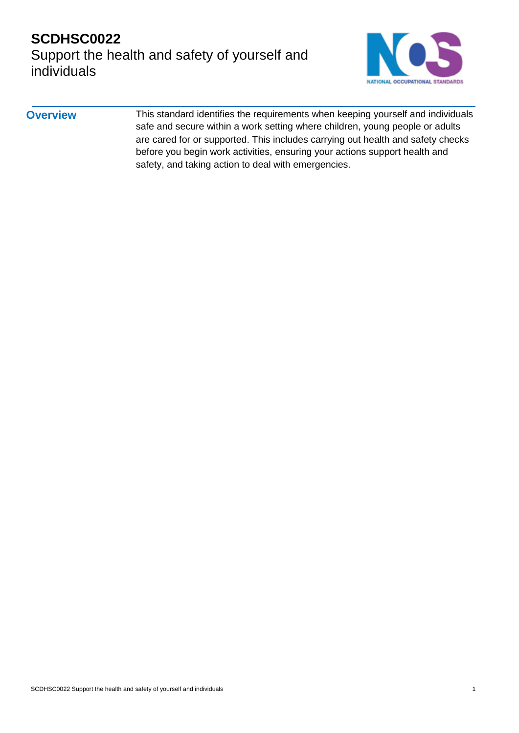

#### **Overview** This standard identifies the requirements when keeping yourself and individuals safe and secure within a work setting where children, young people or adults are cared for or supported. This includes carrying out health and safety checks before you begin work activities, ensuring your actions support health and safety, and taking action to deal with emergencies.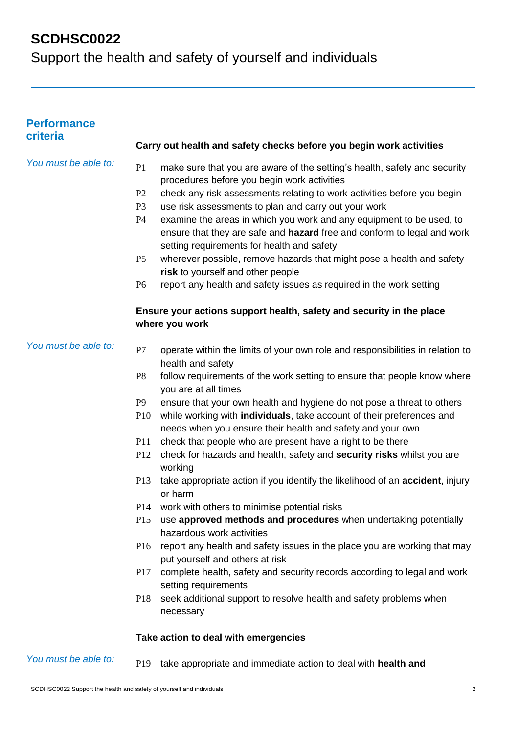Support the health and safety of yourself and individuals

| <b>Performance</b><br>criteria |                                                                                        |                                                                                                                                                                                               |  |  |  |
|--------------------------------|----------------------------------------------------------------------------------------|-----------------------------------------------------------------------------------------------------------------------------------------------------------------------------------------------|--|--|--|
|                                | Carry out health and safety checks before you begin work activities                    |                                                                                                                                                                                               |  |  |  |
| You must be able to:           | P <sub>1</sub>                                                                         | make sure that you are aware of the setting's health, safety and security<br>procedures before you begin work activities                                                                      |  |  |  |
|                                | P <sub>2</sub>                                                                         | check any risk assessments relating to work activities before you begin                                                                                                                       |  |  |  |
|                                | P <sub>3</sub>                                                                         | use risk assessments to plan and carry out your work                                                                                                                                          |  |  |  |
|                                | P4                                                                                     | examine the areas in which you work and any equipment to be used, to<br>ensure that they are safe and hazard free and conform to legal and work<br>setting requirements for health and safety |  |  |  |
|                                | P <sub>5</sub>                                                                         | wherever possible, remove hazards that might pose a health and safety                                                                                                                         |  |  |  |
|                                |                                                                                        | risk to yourself and other people                                                                                                                                                             |  |  |  |
|                                | P <sub>6</sub>                                                                         | report any health and safety issues as required in the work setting                                                                                                                           |  |  |  |
|                                | Ensure your actions support health, safety and security in the place<br>where you work |                                                                                                                                                                                               |  |  |  |
| You must be able to:           | P7                                                                                     | operate within the limits of your own role and responsibilities in relation to<br>health and safety                                                                                           |  |  |  |
|                                | P <sub>8</sub>                                                                         | follow requirements of the work setting to ensure that people know where<br>you are at all times                                                                                              |  |  |  |
|                                | P <sub>9</sub>                                                                         | ensure that your own health and hygiene do not pose a threat to others                                                                                                                        |  |  |  |
|                                | P <sub>10</sub>                                                                        | while working with individuals, take account of their preferences and<br>needs when you ensure their health and safety and your own                                                           |  |  |  |
|                                | P11                                                                                    | check that people who are present have a right to be there                                                                                                                                    |  |  |  |
|                                | P <sub>12</sub>                                                                        | check for hazards and health, safety and security risks whilst you are<br>working                                                                                                             |  |  |  |
|                                | P <sub>13</sub>                                                                        | take appropriate action if you identify the likelihood of an <b>accident</b> , injury<br>or harm                                                                                              |  |  |  |
|                                | P <sub>14</sub>                                                                        | work with others to minimise potential risks                                                                                                                                                  |  |  |  |
|                                | P15                                                                                    | use approved methods and procedures when undertaking potentially<br>hazardous work activities                                                                                                 |  |  |  |
|                                | P <sub>16</sub>                                                                        | report any health and safety issues in the place you are working that may<br>put yourself and others at risk                                                                                  |  |  |  |
|                                | <b>P17</b>                                                                             | complete health, safety and security records according to legal and work<br>setting requirements                                                                                              |  |  |  |
|                                | P <sub>18</sub>                                                                        | seek additional support to resolve health and safety problems when<br>necessary                                                                                                               |  |  |  |

#### **Take action to deal with emergencies**

#### *You must be able to:* P19 take appropriate and immediate action to deal with **health and**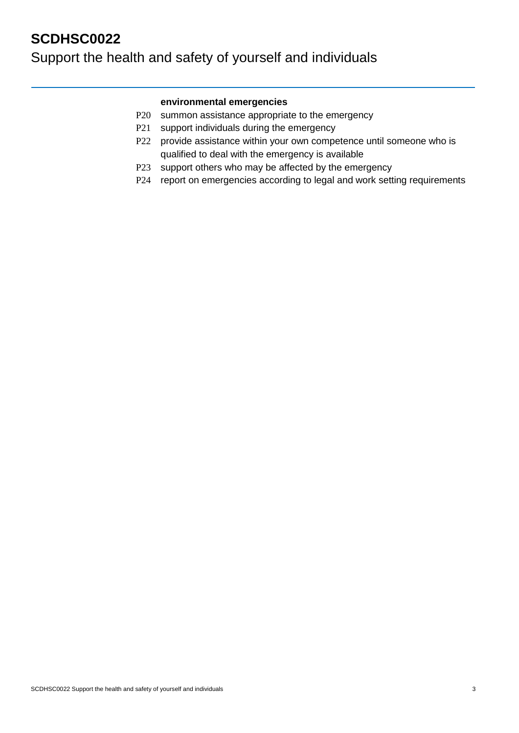## **SCDHSC0022** Support the health and safety of yourself and individuals

#### **environmental emergencies**

- P20 summon assistance appropriate to the emergency
- P21 support individuals during the emergency
- P22 provide assistance within your own competence until someone who is qualified to deal with the emergency is available
- P23 support others who may be affected by the emergency
- P24 report on emergencies according to legal and work setting requirements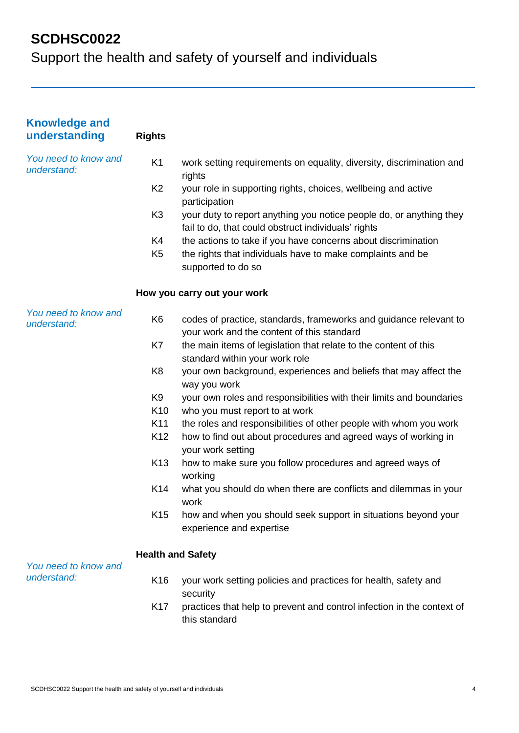| <b>Knowledge and</b><br>understanding | <b>Rights</b>            |                                                                                                                            |
|---------------------------------------|--------------------------|----------------------------------------------------------------------------------------------------------------------------|
| You need to know and<br>understand:   | K <sub>1</sub>           | work setting requirements on equality, diversity, discrimination and<br>rights                                             |
|                                       | K <sub>2</sub>           | your role in supporting rights, choices, wellbeing and active<br>participation                                             |
|                                       | K <sub>3</sub>           | your duty to report anything you notice people do, or anything they<br>fail to do, that could obstruct individuals' rights |
|                                       | K4                       | the actions to take if you have concerns about discrimination                                                              |
|                                       | K <sub>5</sub>           | the rights that individuals have to make complaints and be<br>supported to do so                                           |
|                                       |                          | How you carry out your work                                                                                                |
| You need to know and<br>understand:   | K <sub>6</sub>           | codes of practice, standards, frameworks and guidance relevant to<br>your work and the content of this standard            |
|                                       | K7                       | the main items of legislation that relate to the content of this<br>standard within your work role                         |
|                                       | K <sub>8</sub>           | your own background, experiences and beliefs that may affect the<br>way you work                                           |
|                                       | K <sub>9</sub>           | your own roles and responsibilities with their limits and boundaries                                                       |
|                                       | K <sub>10</sub>          | who you must report to at work                                                                                             |
|                                       | K11                      | the roles and responsibilities of other people with whom you work                                                          |
|                                       | K <sub>12</sub>          | how to find out about procedures and agreed ways of working in<br>your work setting                                        |
|                                       | K <sub>13</sub>          | how to make sure you follow procedures and agreed ways of<br>working                                                       |
|                                       | K14                      | what you should do when there are conflicts and dilemmas in your<br>work                                                   |
|                                       | K <sub>15</sub>          | how and when you should seek support in situations beyond your<br>experience and expertise                                 |
| You need to know and                  | <b>Health and Safety</b> |                                                                                                                            |
| understand:                           | K <sub>16</sub>          | your work setting policies and practices for health, safety and<br>security                                                |
|                                       | K17                      | practices that help to prevent and control infection in the context of<br>this standard                                    |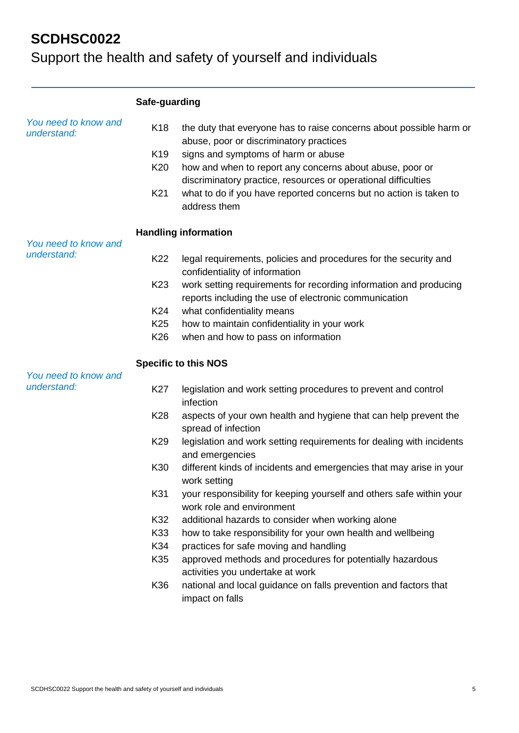|                                     | Safe-guarding                                                                  |                                                                                                                                                                                                                                                                                                                                                                                                                                                                                                                                                                                                                                                                                                                                                                                                                      |  |  |  |  |
|-------------------------------------|--------------------------------------------------------------------------------|----------------------------------------------------------------------------------------------------------------------------------------------------------------------------------------------------------------------------------------------------------------------------------------------------------------------------------------------------------------------------------------------------------------------------------------------------------------------------------------------------------------------------------------------------------------------------------------------------------------------------------------------------------------------------------------------------------------------------------------------------------------------------------------------------------------------|--|--|--|--|
| You need to know and<br>understand: | K <sub>18</sub><br>K <sub>19</sub><br>K <sub>20</sub><br>K21                   | the duty that everyone has to raise concerns about possible harm or<br>abuse, poor or discriminatory practices<br>signs and symptoms of harm or abuse<br>how and when to report any concerns about abuse, poor or<br>discriminatory practice, resources or operational difficulties<br>what to do if you have reported concerns but no action is taken to<br>address them                                                                                                                                                                                                                                                                                                                                                                                                                                            |  |  |  |  |
| You need to know and                | <b>Handling information</b>                                                    |                                                                                                                                                                                                                                                                                                                                                                                                                                                                                                                                                                                                                                                                                                                                                                                                                      |  |  |  |  |
| understand:                         | K22<br>K <sub>23</sub><br>K24<br>K <sub>25</sub><br>K <sub>26</sub>            | legal requirements, policies and procedures for the security and<br>confidentiality of information<br>work setting requirements for recording information and producing<br>reports including the use of electronic communication<br>what confidentiality means<br>how to maintain confidentiality in your work<br>when and how to pass on information                                                                                                                                                                                                                                                                                                                                                                                                                                                                |  |  |  |  |
|                                     |                                                                                | <b>Specific to this NOS</b>                                                                                                                                                                                                                                                                                                                                                                                                                                                                                                                                                                                                                                                                                                                                                                                          |  |  |  |  |
| You need to know and<br>understand: | K27<br>K28<br>K <sub>29</sub><br>K30<br>K31<br>K32<br>K33<br>K34<br>K35<br>K36 | legislation and work setting procedures to prevent and control<br>infection<br>aspects of your own health and hygiene that can help prevent the<br>spread of infection<br>legislation and work setting requirements for dealing with incidents<br>and emergencies<br>different kinds of incidents and emergencies that may arise in your<br>work setting<br>your responsibility for keeping yourself and others safe within your<br>work role and environment<br>additional hazards to consider when working alone<br>how to take responsibility for your own health and wellbeing<br>practices for safe moving and handling<br>approved methods and procedures for potentially hazardous<br>activities you undertake at work<br>national and local guidance on falls prevention and factors that<br>impact on falls |  |  |  |  |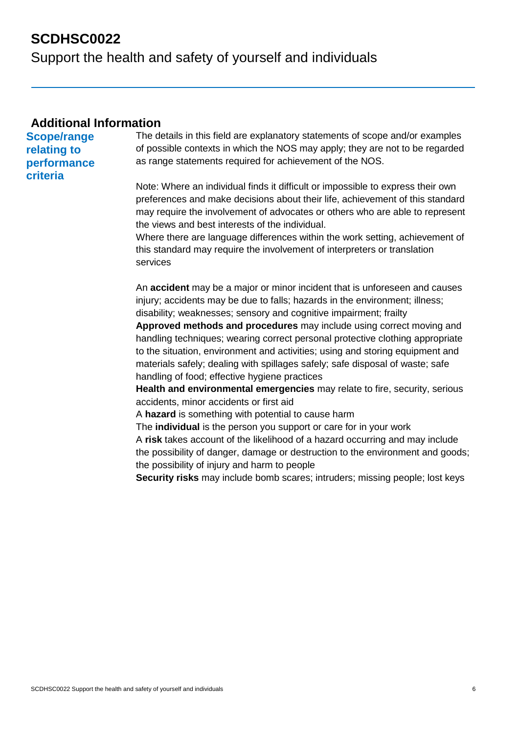Support the health and safety of yourself and individuals

#### **Additional Information**

**Scope/range relating to performance criteria** 

The details in this field are explanatory statements of scope and/or examples of possible contexts in which the NOS may apply; they are not to be regarded as range statements required for achievement of the NOS.

Note: Where an individual finds it difficult or impossible to express their own preferences and make decisions about their life, achievement of this standard may require the involvement of advocates or others who are able to represent the views and best interests of the individual.

Where there are language differences within the work setting, achievement of this standard may require the involvement of interpreters or translation services

An **accident** may be a major or minor incident that is unforeseen and causes injury; accidents may be due to falls; hazards in the environment; illness; disability; weaknesses; sensory and cognitive impairment; frailty

**Approved methods and procedures** may include using correct moving and handling techniques; wearing correct personal protective clothing appropriate to the situation, environment and activities; using and storing equipment and materials safely; dealing with spillages safely; safe disposal of waste; safe handling of food; effective hygiene practices

**Health and environmental emergencies** may relate to fire, security, serious accidents, minor accidents or first aid

A **hazard** is something with potential to cause harm

The **individual** is the person you support or care for in your work A **risk** takes account of the likelihood of a hazard occurring and may include the possibility of danger, damage or destruction to the environment and goods; the possibility of injury and harm to people

**Security risks** may include bomb scares; intruders; missing people; lost keys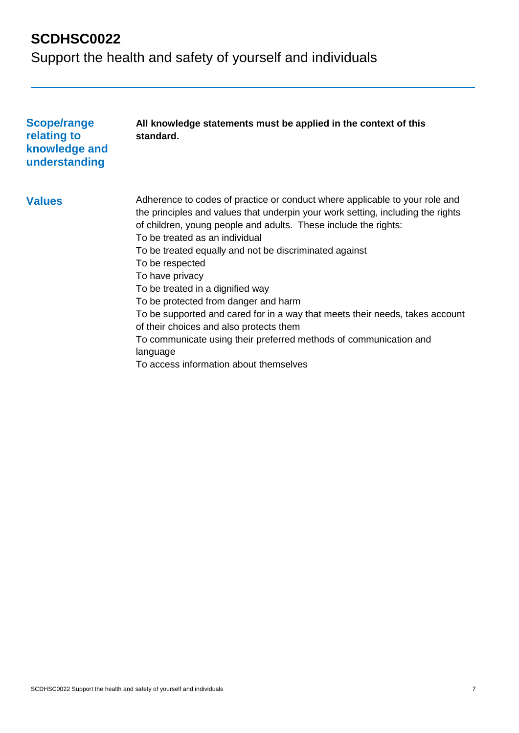| Scope/range<br>relating to<br>knowledge and<br>understanding | All knowledge statements must be applied in the context of this<br>standard.                                                                                                                                                                                                                                                                                                                                                                                                                                                                                                                                                                                                                          |
|--------------------------------------------------------------|-------------------------------------------------------------------------------------------------------------------------------------------------------------------------------------------------------------------------------------------------------------------------------------------------------------------------------------------------------------------------------------------------------------------------------------------------------------------------------------------------------------------------------------------------------------------------------------------------------------------------------------------------------------------------------------------------------|
| <b>Values</b>                                                | Adherence to codes of practice or conduct where applicable to your role and<br>the principles and values that underpin your work setting, including the rights<br>of children, young people and adults. These include the rights:<br>To be treated as an individual<br>To be treated equally and not be discriminated against<br>To be respected<br>To have privacy<br>To be treated in a dignified way<br>To be protected from danger and harm<br>To be supported and cared for in a way that meets their needs, takes account<br>of their choices and also protects them<br>To communicate using their preferred methods of communication and<br>language<br>To access information about themselves |